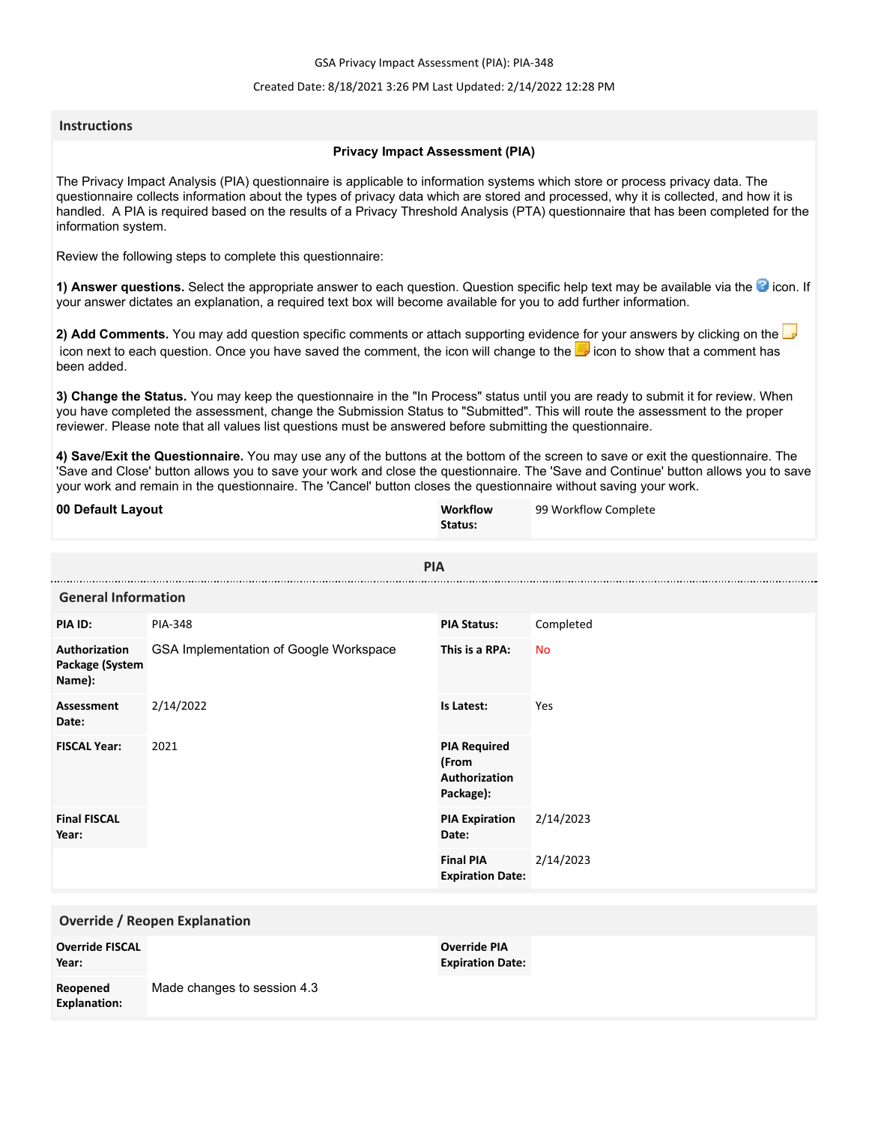GSA Privacy Impact Assessment (PIA): PIA-348

# Created Date: 8/18/2021 3:26 PM Last Updated: 2/14/2022 12:28 PM

# **Instructions**

# **Privacy Impact Assessment (PIA)**

The Privacy Impact Analysis (PIA) questionnaire is applicable to information systems which store or process privacy data. The questionnaire collects information about the types of privacy data which are stored and processed, why it is collected, and how it is handled. A PIA is required based on the results of a Privacy Threshold Analysis (PTA) questionnaire that has been completed for the information system.

Review the following steps to complete this questionnaire:

1) Answer questions. Select the appropriate answer to each question. Question specific help text may be available via the <sup>3</sup> icon. If your answer dictates an explanation, a required text box will become available for you to add further information.

**2) Add Comments.** You may add question specific comments or attach supporting evidence for your answers by clicking on the icon next to each question. Once you have saved the comment, the icon will change to the **i** icon to show that a comment has been added.

**3) Change the Status.** You may keep the questionnaire in the "In Process" status until you are ready to submit it for review. When you have completed the assessment, change the Submission Status to "Submitted". This will route the assessment to the proper reviewer. Please note that all values list questions must be answered before submitting the questionnaire.

**4) Save/Exit the Questionnaire.** You may use any of the buttons at the bottom of the screen to save or exit the questionnaire. The 'Save and Close' button allows you to save your work and close the questionnaire. The 'Save and Continue' button allows you to save your work and remain in the questionnaire. The 'Cancel' button closes the questionnaire without saving your work.

| 00 Default Layout                          |                                        | Workflow<br>Status:                                        | 99 Workflow Complete |  |
|--------------------------------------------|----------------------------------------|------------------------------------------------------------|----------------------|--|
| <b>PIA</b>                                 |                                        |                                                            |                      |  |
|                                            | <b>General Information</b>             |                                                            |                      |  |
| PIA ID:                                    | <b>PIA-348</b>                         | <b>PIA Status:</b>                                         | Completed            |  |
| Authorization<br>Package (System<br>Name): | GSA Implementation of Google Workspace | This is a RPA:                                             | <b>No</b>            |  |
| <b>Assessment</b><br>Date:                 | 2/14/2022                              | Is Latest:                                                 | Yes                  |  |
| <b>FISCAL Year:</b>                        | 2021                                   | <b>PIA Required</b><br>(From<br>Authorization<br>Package): |                      |  |
| <b>Final FISCAL</b><br>Year:               |                                        | <b>PIA Expiration</b><br>Date:                             | 2/14/2023            |  |
|                                            |                                        | <b>Final PIA</b><br><b>Expiration Date:</b>                | 2/14/2023            |  |
| <b>Override / Reopen Explanation</b>       |                                        |                                                            |                      |  |
| <b>Override FISCAL</b><br>Year:            |                                        | <b>Override PIA</b><br><b>Expiration Date:</b>             |                      |  |
| Reopened<br><b>Explanation:</b>            | Made changes to session 4.3            |                                                            |                      |  |
|                                            |                                        |                                                            |                      |  |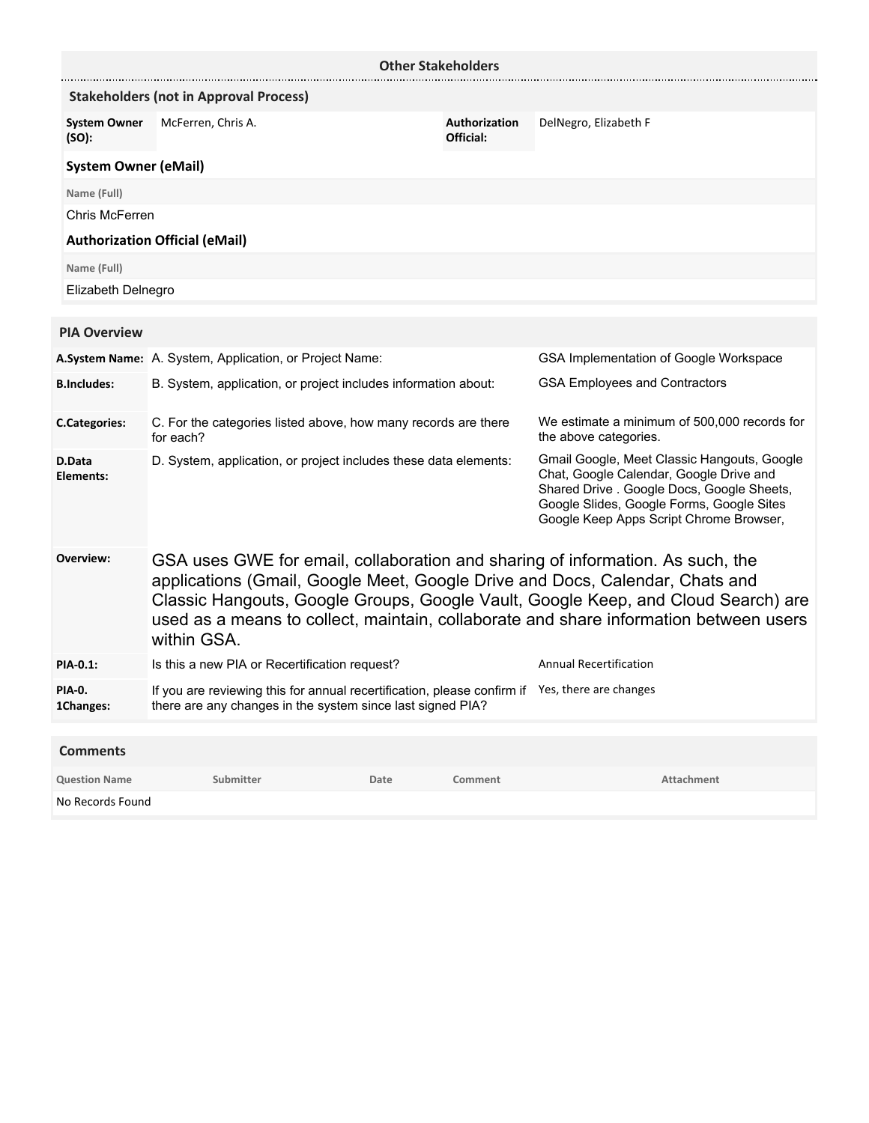| <b>Other Stakeholders</b>    |                                                                                                                                                                                                                                                                                                                                                             |      |                                                                                                                                                                                                                              |                                                                       |
|------------------------------|-------------------------------------------------------------------------------------------------------------------------------------------------------------------------------------------------------------------------------------------------------------------------------------------------------------------------------------------------------------|------|------------------------------------------------------------------------------------------------------------------------------------------------------------------------------------------------------------------------------|-----------------------------------------------------------------------|
|                              | <b>Stakeholders (not in Approval Process)</b>                                                                                                                                                                                                                                                                                                               |      |                                                                                                                                                                                                                              |                                                                       |
| <b>System Owner</b><br>(SO): | McFerren, Chris A.                                                                                                                                                                                                                                                                                                                                          |      | Authorization<br>Official:                                                                                                                                                                                                   | DelNegro, Elizabeth F                                                 |
| <b>System Owner (eMail)</b>  |                                                                                                                                                                                                                                                                                                                                                             |      |                                                                                                                                                                                                                              |                                                                       |
| Name (Full)                  |                                                                                                                                                                                                                                                                                                                                                             |      |                                                                                                                                                                                                                              |                                                                       |
| Chris McFerren               |                                                                                                                                                                                                                                                                                                                                                             |      |                                                                                                                                                                                                                              |                                                                       |
|                              | <b>Authorization Official (eMail)</b>                                                                                                                                                                                                                                                                                                                       |      |                                                                                                                                                                                                                              |                                                                       |
| Name (Full)                  |                                                                                                                                                                                                                                                                                                                                                             |      |                                                                                                                                                                                                                              |                                                                       |
| Elizabeth Delnegro           |                                                                                                                                                                                                                                                                                                                                                             |      |                                                                                                                                                                                                                              |                                                                       |
|                              |                                                                                                                                                                                                                                                                                                                                                             |      |                                                                                                                                                                                                                              |                                                                       |
| <b>PIA Overview</b>          |                                                                                                                                                                                                                                                                                                                                                             |      |                                                                                                                                                                                                                              |                                                                       |
|                              | A.System Name: A. System, Application, or Project Name:                                                                                                                                                                                                                                                                                                     |      |                                                                                                                                                                                                                              | GSA Implementation of Google Workspace                                |
| <b>B.Includes:</b>           | B. System, application, or project includes information about:                                                                                                                                                                                                                                                                                              |      |                                                                                                                                                                                                                              | <b>GSA Employees and Contractors</b>                                  |
| <b>C.Categories:</b>         | C. For the categories listed above, how many records are there<br>for each?                                                                                                                                                                                                                                                                                 |      |                                                                                                                                                                                                                              | We estimate a minimum of 500,000 records for<br>the above categories. |
| D.Data<br>Elements:          | D. System, application, or project includes these data elements:                                                                                                                                                                                                                                                                                            |      | Gmail Google, Meet Classic Hangouts, Google<br>Chat, Google Calendar, Google Drive and<br>Shared Drive . Google Docs, Google Sheets,<br>Google Slides, Google Forms, Google Sites<br>Google Keep Apps Script Chrome Browser, |                                                                       |
| Overview:                    | GSA uses GWE for email, collaboration and sharing of information. As such, the<br>applications (Gmail, Google Meet, Google Drive and Docs, Calendar, Chats and<br>Classic Hangouts, Google Groups, Google Vault, Google Keep, and Cloud Search) are<br>used as a means to collect, maintain, collaborate and share information between users<br>within GSA. |      |                                                                                                                                                                                                                              |                                                                       |
| PIA-0.1:                     | Is this a new PIA or Recertification request?                                                                                                                                                                                                                                                                                                               |      |                                                                                                                                                                                                                              | <b>Annual Recertification</b>                                         |
| PIA-0.<br>1Changes:          | If you are reviewing this for annual recertification, please confirm if Yes, there are changes<br>there are any changes in the system since last signed PIA?                                                                                                                                                                                                |      |                                                                                                                                                                                                                              |                                                                       |
| <b>Comments</b>              |                                                                                                                                                                                                                                                                                                                                                             |      |                                                                                                                                                                                                                              |                                                                       |
| <b>Question Name</b>         | Submitter                                                                                                                                                                                                                                                                                                                                                   | Date | Comment                                                                                                                                                                                                                      | Attachment                                                            |
| No Records Found             |                                                                                                                                                                                                                                                                                                                                                             |      |                                                                                                                                                                                                                              |                                                                       |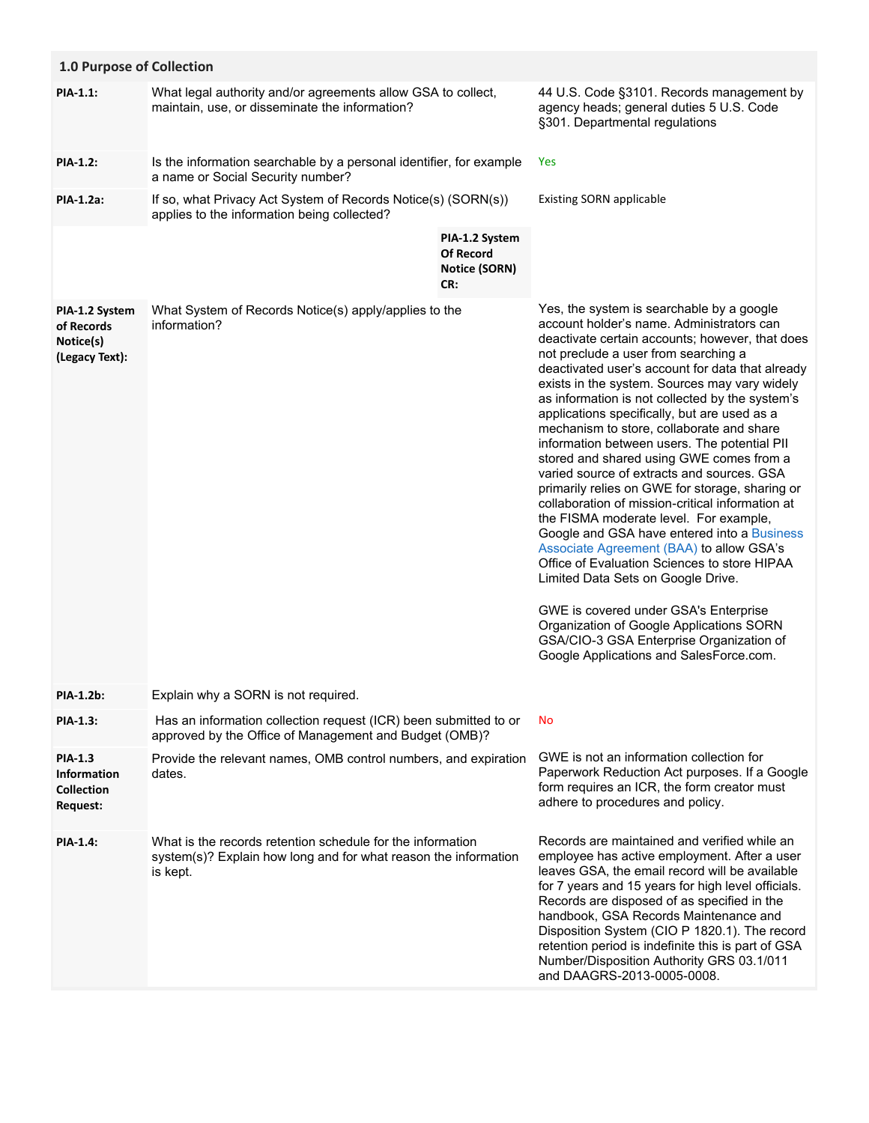| 1.0 Purpose of Collection                                                    |                                                                                                                                           |                                                                   |                                                                                                                                                                                                                                                                                                                                                                                                                                                                                                                                                                                                                                                                                                                                                                                                                                                                                                                                                                                                                                                                                                |  |
|------------------------------------------------------------------------------|-------------------------------------------------------------------------------------------------------------------------------------------|-------------------------------------------------------------------|------------------------------------------------------------------------------------------------------------------------------------------------------------------------------------------------------------------------------------------------------------------------------------------------------------------------------------------------------------------------------------------------------------------------------------------------------------------------------------------------------------------------------------------------------------------------------------------------------------------------------------------------------------------------------------------------------------------------------------------------------------------------------------------------------------------------------------------------------------------------------------------------------------------------------------------------------------------------------------------------------------------------------------------------------------------------------------------------|--|
| <b>PIA-1.1:</b>                                                              | What legal authority and/or agreements allow GSA to collect,<br>maintain, use, or disseminate the information?                            |                                                                   | 44 U.S. Code §3101. Records management by<br>agency heads; general duties 5 U.S. Code<br>§301. Departmental regulations                                                                                                                                                                                                                                                                                                                                                                                                                                                                                                                                                                                                                                                                                                                                                                                                                                                                                                                                                                        |  |
| <b>PIA-1.2:</b>                                                              | Is the information searchable by a personal identifier, for example<br>a name or Social Security number?                                  |                                                                   | Yes                                                                                                                                                                                                                                                                                                                                                                                                                                                                                                                                                                                                                                                                                                                                                                                                                                                                                                                                                                                                                                                                                            |  |
| <b>PIA-1.2a:</b>                                                             | If so, what Privacy Act System of Records Notice(s) (SORN(s))<br>applies to the information being collected?                              |                                                                   | <b>Existing SORN applicable</b>                                                                                                                                                                                                                                                                                                                                                                                                                                                                                                                                                                                                                                                                                                                                                                                                                                                                                                                                                                                                                                                                |  |
|                                                                              |                                                                                                                                           | PIA-1.2 System<br><b>Of Record</b><br><b>Notice (SORN)</b><br>CR: |                                                                                                                                                                                                                                                                                                                                                                                                                                                                                                                                                                                                                                                                                                                                                                                                                                                                                                                                                                                                                                                                                                |  |
| PIA-1.2 System<br>of Records<br>Notice(s)<br>(Legacy Text):                  | What System of Records Notice(s) apply/applies to the<br>information?                                                                     |                                                                   | Yes, the system is searchable by a google<br>account holder's name. Administrators can<br>deactivate certain accounts; however, that does<br>not preclude a user from searching a<br>deactivated user's account for data that already<br>exists in the system. Sources may vary widely<br>as information is not collected by the system's<br>applications specifically, but are used as a<br>mechanism to store, collaborate and share<br>information between users. The potential PII<br>stored and shared using GWE comes from a<br>varied source of extracts and sources. GSA<br>primarily relies on GWE for storage, sharing or<br>collaboration of mission-critical information at<br>the FISMA moderate level. For example,<br>Google and GSA have entered into a Business<br>Associate Agreement (BAA) to allow GSA's<br>Office of Evaluation Sciences to store HIPAA<br>Limited Data Sets on Google Drive.<br>GWE is covered under GSA's Enterprise<br>Organization of Google Applications SORN<br>GSA/CIO-3 GSA Enterprise Organization of<br>Google Applications and SalesForce.com. |  |
| <b>PIA-1.2b:</b>                                                             | Explain why a SORN is not required.                                                                                                       |                                                                   |                                                                                                                                                                                                                                                                                                                                                                                                                                                                                                                                                                                                                                                                                                                                                                                                                                                                                                                                                                                                                                                                                                |  |
| PIA-1.3:                                                                     | Has an information collection request (ICR) been submitted to or<br>approved by the Office of Management and Budget (OMB)?                |                                                                   | <b>No</b>                                                                                                                                                                                                                                                                                                                                                                                                                                                                                                                                                                                                                                                                                                                                                                                                                                                                                                                                                                                                                                                                                      |  |
| <b>PIA-1.3</b><br><b>Information</b><br><b>Collection</b><br><b>Request:</b> | Provide the relevant names, OMB control numbers, and expiration<br>dates.                                                                 |                                                                   | GWE is not an information collection for<br>Paperwork Reduction Act purposes. If a Google<br>form requires an ICR, the form creator must<br>adhere to procedures and policy.                                                                                                                                                                                                                                                                                                                                                                                                                                                                                                                                                                                                                                                                                                                                                                                                                                                                                                                   |  |
| <b>PIA-1.4:</b>                                                              | What is the records retention schedule for the information<br>system(s)? Explain how long and for what reason the information<br>is kept. |                                                                   | Records are maintained and verified while an<br>employee has active employment. After a user<br>leaves GSA, the email record will be available<br>for 7 years and 15 years for high level officials.<br>Records are disposed of as specified in the<br>handbook, GSA Records Maintenance and<br>Disposition System (CIO P 1820.1). The record<br>retention period is indefinite this is part of GSA<br>Number/Disposition Authority GRS 03.1/011<br>and DAAGRS-2013-0005-0008.                                                                                                                                                                                                                                                                                                                                                                                                                                                                                                                                                                                                                 |  |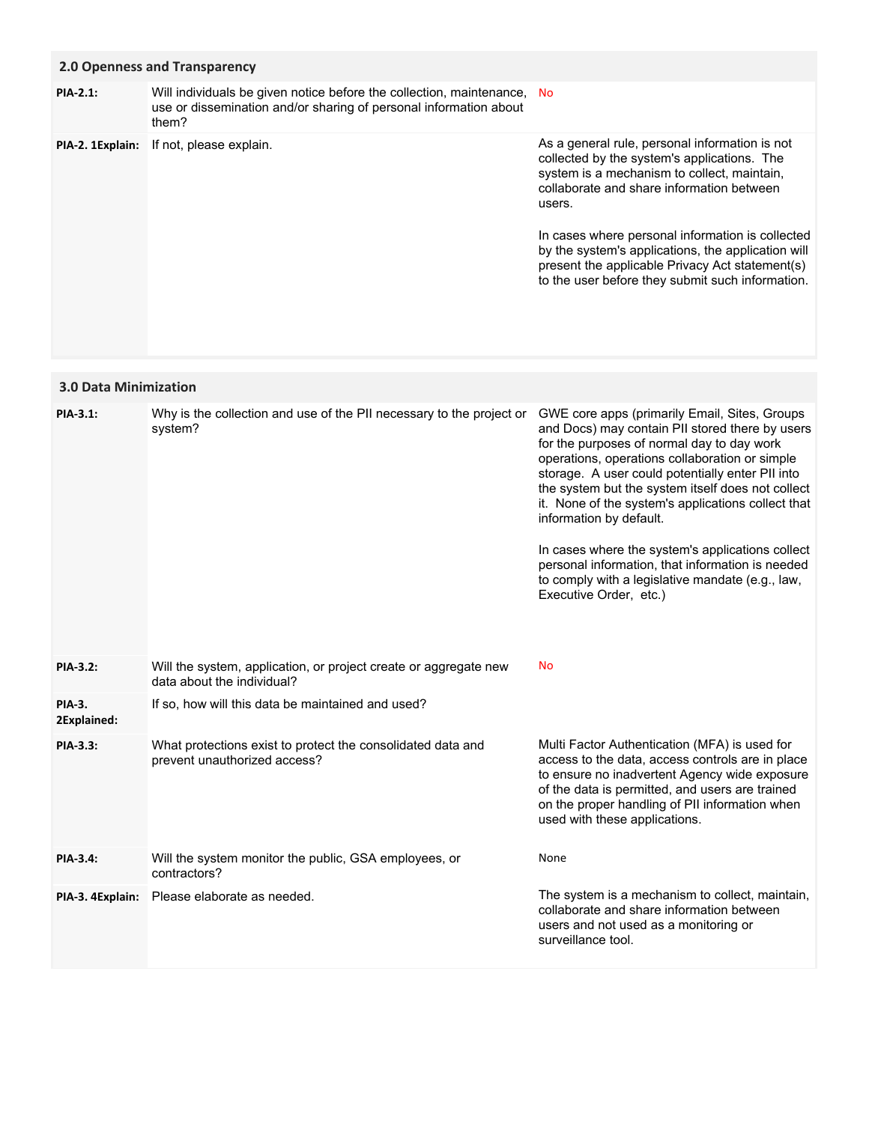# **2.0 Openness and Transparency**

**PIA-2. 1Explain:** If not, please explain.

Will individuals be given notice before the collection, maintenance, No use or dissemination and/or sharing of personal information about them? **PIA-2.1:**

As a general rule, personal information is not collected by the system's applications. The system is a mechanism to collect, maintain, collaborate and share information between users.

In cases where personal information is collected by the system's applications, the application will present the applicable Privacy Act statement(s) to the user before they submit such information.

# **3.0 Data Minimization**

| <b>PIA-3.1:</b>              | Why is the collection and use of the PII necessary to the project or<br>system?                | GWE core apps (primarily Email, Sites, Groups<br>and Docs) may contain PII stored there by users<br>for the purposes of normal day to day work<br>operations, operations collaboration or simple<br>storage. A user could potentially enter PII into<br>the system but the system itself does not collect<br>it. None of the system's applications collect that<br>information by default.<br>In cases where the system's applications collect<br>personal information, that information is needed<br>to comply with a legislative mandate (e.g., law,<br>Executive Order, etc.) |
|------------------------------|------------------------------------------------------------------------------------------------|----------------------------------------------------------------------------------------------------------------------------------------------------------------------------------------------------------------------------------------------------------------------------------------------------------------------------------------------------------------------------------------------------------------------------------------------------------------------------------------------------------------------------------------------------------------------------------|
| <b>PIA-3.2:</b>              | Will the system, application, or project create or aggregate new<br>data about the individual? | <b>No</b>                                                                                                                                                                                                                                                                                                                                                                                                                                                                                                                                                                        |
| <b>PIA-3.</b><br>2Explained: | If so, how will this data be maintained and used?                                              |                                                                                                                                                                                                                                                                                                                                                                                                                                                                                                                                                                                  |
| PIA-3.3:                     | What protections exist to protect the consolidated data and<br>prevent unauthorized access?    | Multi Factor Authentication (MFA) is used for<br>access to the data, access controls are in place<br>to ensure no inadvertent Agency wide exposure<br>of the data is permitted, and users are trained<br>on the proper handling of PII information when<br>used with these applications.                                                                                                                                                                                                                                                                                         |
| PIA-3.4:                     | Will the system monitor the public, GSA employees, or<br>contractors?                          | None                                                                                                                                                                                                                                                                                                                                                                                                                                                                                                                                                                             |
| PIA-3. 4Explain:             | Please elaborate as needed.                                                                    | The system is a mechanism to collect, maintain,<br>collaborate and share information between<br>users and not used as a monitoring or<br>surveillance tool.                                                                                                                                                                                                                                                                                                                                                                                                                      |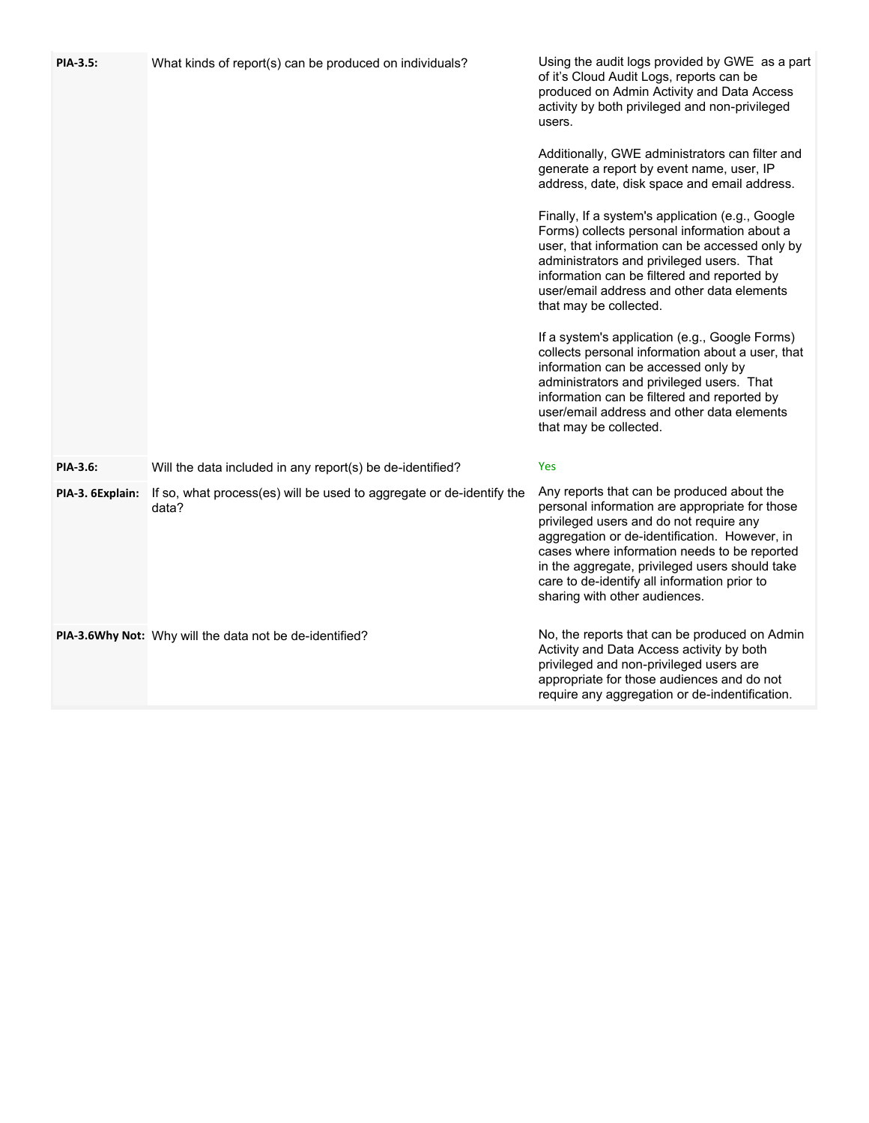| PIA-3.5:         | What kinds of report(s) can be produced on individuals?                       | Using the audit logs provided by GWE as a part<br>of it's Cloud Audit Logs, reports can be<br>produced on Admin Activity and Data Access<br>activity by both privileged and non-privileged<br>users.<br>Additionally, GWE administrators can filter and<br>generate a report by event name, user, IP<br>address, date, disk space and email address.<br>Finally, If a system's application (e.g., Google<br>Forms) collects personal information about a<br>user, that information can be accessed only by<br>administrators and privileged users. That<br>information can be filtered and reported by<br>user/email address and other data elements<br>that may be collected.<br>If a system's application (e.g., Google Forms)<br>collects personal information about a user, that<br>information can be accessed only by<br>administrators and privileged users. That<br>information can be filtered and reported by<br>user/email address and other data elements |
|------------------|-------------------------------------------------------------------------------|-----------------------------------------------------------------------------------------------------------------------------------------------------------------------------------------------------------------------------------------------------------------------------------------------------------------------------------------------------------------------------------------------------------------------------------------------------------------------------------------------------------------------------------------------------------------------------------------------------------------------------------------------------------------------------------------------------------------------------------------------------------------------------------------------------------------------------------------------------------------------------------------------------------------------------------------------------------------------|
|                  |                                                                               | that may be collected.                                                                                                                                                                                                                                                                                                                                                                                                                                                                                                                                                                                                                                                                                                                                                                                                                                                                                                                                                |
| PIA-3.6:         | Will the data included in any report(s) be de-identified?                     | Yes                                                                                                                                                                                                                                                                                                                                                                                                                                                                                                                                                                                                                                                                                                                                                                                                                                                                                                                                                                   |
| PIA-3. 6Explain: | If so, what process(es) will be used to aggregate or de-identify the<br>data? | Any reports that can be produced about the<br>personal information are appropriate for those<br>privileged users and do not require any<br>aggregation or de-identification. However, in<br>cases where information needs to be reported<br>in the aggregate, privileged users should take<br>care to de-identify all information prior to<br>sharing with other audiences.                                                                                                                                                                                                                                                                                                                                                                                                                                                                                                                                                                                           |
|                  | PIA-3.6Why Not: Why will the data not be de-identified?                       | No, the reports that can be produced on Admin<br>Activity and Data Access activity by both<br>privileged and non-privileged users are<br>appropriate for those audiences and do not<br>require any aggregation or de-indentification.                                                                                                                                                                                                                                                                                                                                                                                                                                                                                                                                                                                                                                                                                                                                 |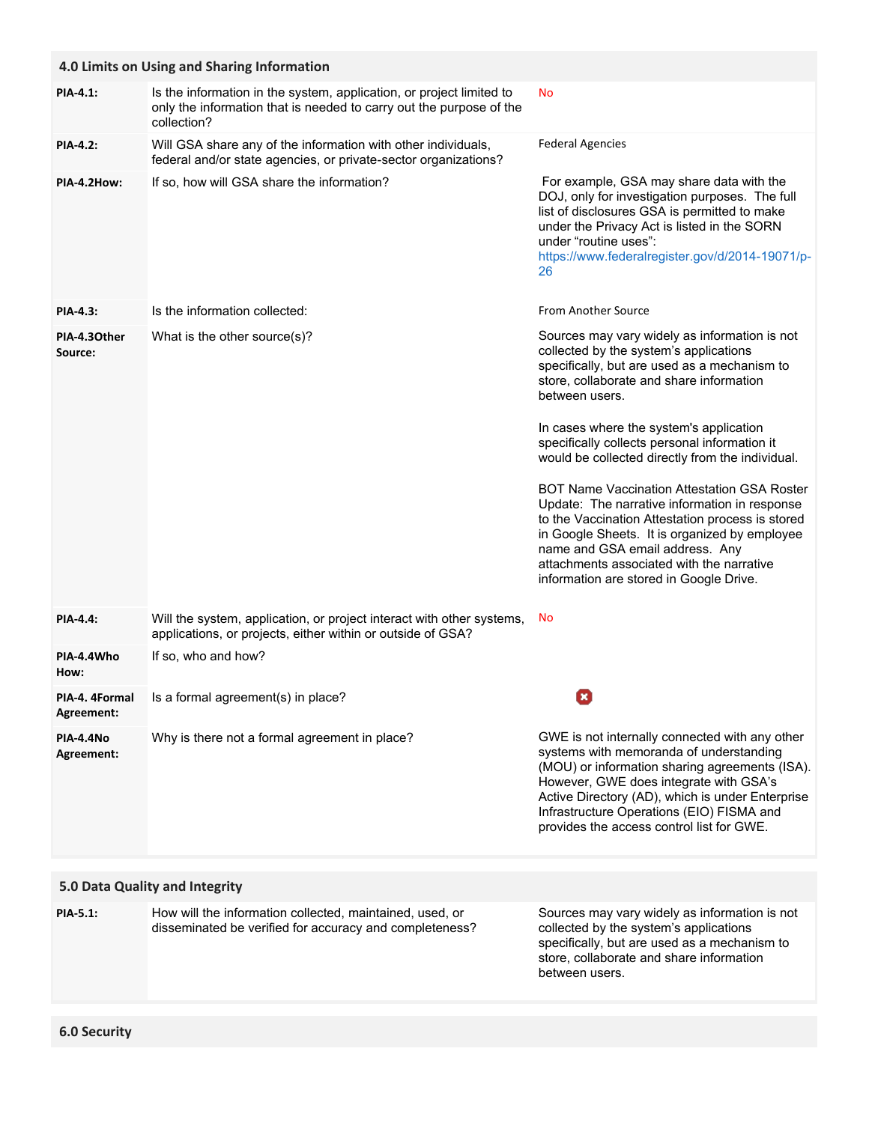|                                | 4.0 Limits on Using and Sharing Information                                                                                                                |                                                                                                                                                                                                                                                                                                                                     |  |  |
|--------------------------------|------------------------------------------------------------------------------------------------------------------------------------------------------------|-------------------------------------------------------------------------------------------------------------------------------------------------------------------------------------------------------------------------------------------------------------------------------------------------------------------------------------|--|--|
| <b>PIA-4.1:</b>                | Is the information in the system, application, or project limited to<br>only the information that is needed to carry out the purpose of the<br>collection? | <b>No</b>                                                                                                                                                                                                                                                                                                                           |  |  |
| <b>PIA-4.2:</b>                | Will GSA share any of the information with other individuals,<br>federal and/or state agencies, or private-sector organizations?                           | <b>Federal Agencies</b>                                                                                                                                                                                                                                                                                                             |  |  |
| PIA-4.2How:                    | If so, how will GSA share the information?                                                                                                                 | For example, GSA may share data with the<br>DOJ, only for investigation purposes. The full<br>list of disclosures GSA is permitted to make<br>under the Privacy Act is listed in the SORN<br>under "routine uses":<br>https://www.federalregister.gov/d/2014-19071/p-<br>26                                                         |  |  |
| <b>PIA-4.3:</b>                | Is the information collected:                                                                                                                              | From Another Source                                                                                                                                                                                                                                                                                                                 |  |  |
| PIA-4.30ther<br>Source:        | What is the other source(s)?                                                                                                                               | Sources may vary widely as information is not<br>collected by the system's applications<br>specifically, but are used as a mechanism to<br>store, collaborate and share information<br>between users.                                                                                                                               |  |  |
|                                |                                                                                                                                                            | In cases where the system's application<br>specifically collects personal information it<br>would be collected directly from the individual.                                                                                                                                                                                        |  |  |
|                                |                                                                                                                                                            | <b>BOT Name Vaccination Attestation GSA Roster</b><br>Update: The narrative information in response<br>to the Vaccination Attestation process is stored<br>in Google Sheets. It is organized by employee<br>name and GSA email address. Any<br>attachments associated with the narrative<br>information are stored in Google Drive. |  |  |
| <b>PIA-4.4:</b>                | Will the system, application, or project interact with other systems,<br>applications, or projects, either within or outside of GSA?                       | No                                                                                                                                                                                                                                                                                                                                  |  |  |
| PIA-4.4Who<br>How:             | If so, who and how?                                                                                                                                        |                                                                                                                                                                                                                                                                                                                                     |  |  |
| PIA-4. 4Formal<br>Agreement:   | Is a formal agreement(s) in place?                                                                                                                         | Ø                                                                                                                                                                                                                                                                                                                                   |  |  |
| PIA-4.4No<br>Agreement:        | Why is there not a formal agreement in place?                                                                                                              | GWE is not internally connected with any other<br>systems with memoranda of understanding<br>(MOU) or information sharing agreements (ISA).<br>However, GWE does integrate with GSA's<br>Active Directory (AD), which is under Enterprise<br>Infrastructure Operations (EIO) FISMA and<br>provides the access control list for GWE. |  |  |
| 5.0 Data Quality and Integrity |                                                                                                                                                            |                                                                                                                                                                                                                                                                                                                                     |  |  |
|                                |                                                                                                                                                            |                                                                                                                                                                                                                                                                                                                                     |  |  |
| <b>PIA-5.1:</b>                | How will the information collected, maintained, used, or<br>disseminated be verified for accuracy and completeness?                                        | Sources may vary widely as information is not<br>collected by the system's applications<br>specifically, but are used as a mechanism to<br>store, collaborate and share information<br>between users.                                                                                                                               |  |  |
|                                |                                                                                                                                                            |                                                                                                                                                                                                                                                                                                                                     |  |  |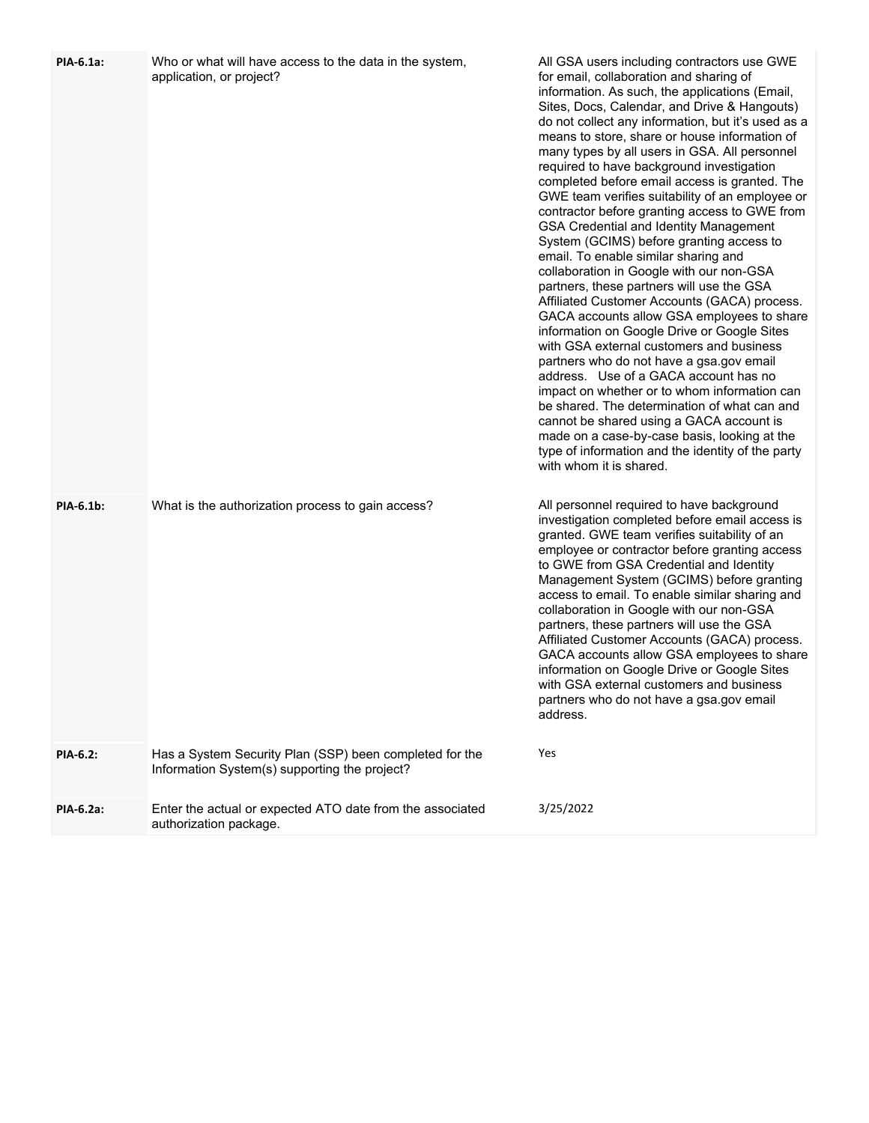| PIA-6.1a:        | Who or what will have access to the data in the system,<br>application, or project?                      | All GSA users including contractors use GWE<br>for email, collaboration and sharing of<br>information. As such, the applications (Email,<br>Sites, Docs, Calendar, and Drive & Hangouts)<br>do not collect any information, but it's used as a<br>means to store, share or house information of<br>many types by all users in GSA. All personnel<br>required to have background investigation<br>completed before email access is granted. The<br>GWE team verifies suitability of an employee or<br>contractor before granting access to GWE from<br><b>GSA Credential and Identity Management</b><br>System (GCIMS) before granting access to<br>email. To enable similar sharing and<br>collaboration in Google with our non-GSA<br>partners, these partners will use the GSA<br>Affiliated Customer Accounts (GACA) process.<br>GACA accounts allow GSA employees to share<br>information on Google Drive or Google Sites<br>with GSA external customers and business<br>partners who do not have a gsa.gov email<br>address. Use of a GACA account has no<br>impact on whether or to whom information can<br>be shared. The determination of what can and<br>cannot be shared using a GACA account is<br>made on a case-by-case basis, looking at the<br>type of information and the identity of the party<br>with whom it is shared. |
|------------------|----------------------------------------------------------------------------------------------------------|--------------------------------------------------------------------------------------------------------------------------------------------------------------------------------------------------------------------------------------------------------------------------------------------------------------------------------------------------------------------------------------------------------------------------------------------------------------------------------------------------------------------------------------------------------------------------------------------------------------------------------------------------------------------------------------------------------------------------------------------------------------------------------------------------------------------------------------------------------------------------------------------------------------------------------------------------------------------------------------------------------------------------------------------------------------------------------------------------------------------------------------------------------------------------------------------------------------------------------------------------------------------------------------------------------------------------------------------|
| <b>PIA-6.1b:</b> | What is the authorization process to gain access?                                                        | All personnel required to have background<br>investigation completed before email access is<br>granted. GWE team verifies suitability of an<br>employee or contractor before granting access<br>to GWE from GSA Credential and Identity<br>Management System (GCIMS) before granting<br>access to email. To enable similar sharing and<br>collaboration in Google with our non-GSA<br>partners, these partners will use the GSA<br>Affiliated Customer Accounts (GACA) process.<br>GACA accounts allow GSA employees to share<br>information on Google Drive or Google Sites<br>with GSA external customers and business<br>partners who do not have a gsa.gov email<br>address.                                                                                                                                                                                                                                                                                                                                                                                                                                                                                                                                                                                                                                                           |
| <b>PIA-6.2:</b>  | Has a System Security Plan (SSP) been completed for the<br>Information System(s) supporting the project? | Yes                                                                                                                                                                                                                                                                                                                                                                                                                                                                                                                                                                                                                                                                                                                                                                                                                                                                                                                                                                                                                                                                                                                                                                                                                                                                                                                                        |
| PIA-6.2a:        | Enter the actual or expected ATO date from the associated<br>authorization package.                      | 3/25/2022                                                                                                                                                                                                                                                                                                                                                                                                                                                                                                                                                                                                                                                                                                                                                                                                                                                                                                                                                                                                                                                                                                                                                                                                                                                                                                                                  |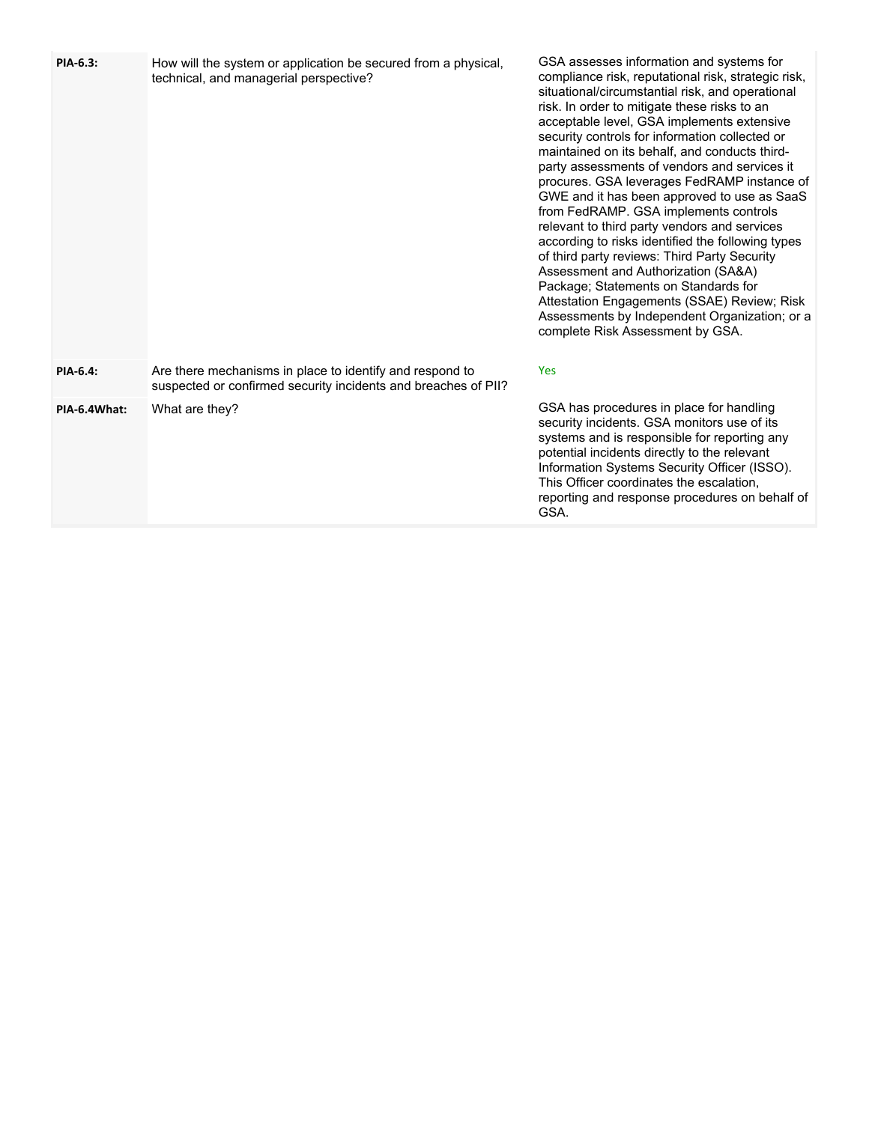| PIA-6.3:     | How will the system or application be secured from a physical,<br>technical, and managerial perspective?                   | GSA assesses information and systems for<br>compliance risk, reputational risk, strategic risk,<br>situational/circumstantial risk, and operational<br>risk. In order to mitigate these risks to an<br>acceptable level, GSA implements extensive<br>security controls for information collected or<br>maintained on its behalf, and conducts third-<br>party assessments of vendors and services it<br>procures. GSA leverages FedRAMP instance of<br>GWE and it has been approved to use as SaaS<br>from FedRAMP. GSA implements controls<br>relevant to third party vendors and services<br>according to risks identified the following types<br>of third party reviews: Third Party Security<br>Assessment and Authorization (SA&A)<br>Package; Statements on Standards for<br>Attestation Engagements (SSAE) Review; Risk<br>Assessments by Independent Organization; or a<br>complete Risk Assessment by GSA. |
|--------------|----------------------------------------------------------------------------------------------------------------------------|---------------------------------------------------------------------------------------------------------------------------------------------------------------------------------------------------------------------------------------------------------------------------------------------------------------------------------------------------------------------------------------------------------------------------------------------------------------------------------------------------------------------------------------------------------------------------------------------------------------------------------------------------------------------------------------------------------------------------------------------------------------------------------------------------------------------------------------------------------------------------------------------------------------------|
| PIA-6.4:     | Are there mechanisms in place to identify and respond to<br>suspected or confirmed security incidents and breaches of PII? | Yes                                                                                                                                                                                                                                                                                                                                                                                                                                                                                                                                                                                                                                                                                                                                                                                                                                                                                                                 |
| PIA-6.4What: | What are they?                                                                                                             | GSA has procedures in place for handling<br>security incidents. GSA monitors use of its<br>systems and is responsible for reporting any<br>potential incidents directly to the relevant<br>Information Systems Security Officer (ISSO).<br>This Officer coordinates the escalation,<br>reporting and response procedures on behalf of<br>GSA.                                                                                                                                                                                                                                                                                                                                                                                                                                                                                                                                                                       |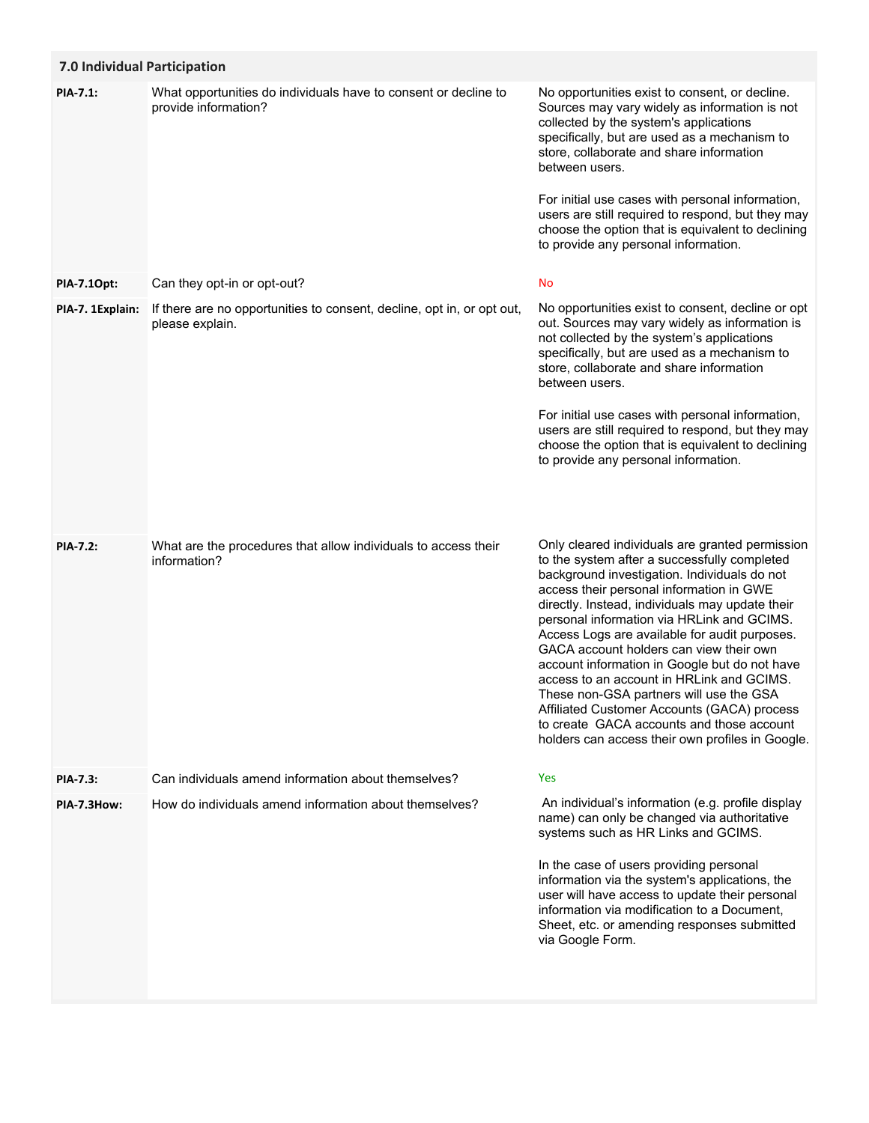# **7.0 Individual Participation**

| What opportunities do individuals have to consent or decline to<br>provide information?   | No opportunities exist to consent, or decline.<br>Sources may vary widely as information is not<br>collected by the system's applications<br>specifically, but are used as a mechanism to<br>store, collaborate and share information<br>between users.<br>For initial use cases with personal information,<br>users are still required to respond, but they may<br>choose the option that is equivalent to declining<br>to provide any personal information.                                                                                                                                                                                                                     |
|-------------------------------------------------------------------------------------------|-----------------------------------------------------------------------------------------------------------------------------------------------------------------------------------------------------------------------------------------------------------------------------------------------------------------------------------------------------------------------------------------------------------------------------------------------------------------------------------------------------------------------------------------------------------------------------------------------------------------------------------------------------------------------------------|
| Can they opt-in or opt-out?                                                               | No                                                                                                                                                                                                                                                                                                                                                                                                                                                                                                                                                                                                                                                                                |
| If there are no opportunities to consent, decline, opt in, or opt out,<br>please explain. | No opportunities exist to consent, decline or opt<br>out. Sources may vary widely as information is<br>not collected by the system's applications<br>specifically, but are used as a mechanism to<br>store, collaborate and share information<br>between users.<br>For initial use cases with personal information,<br>users are still required to respond, but they may<br>choose the option that is equivalent to declining<br>to provide any personal information.                                                                                                                                                                                                             |
| What are the procedures that allow individuals to access their<br>information?            | Only cleared individuals are granted permission<br>to the system after a successfully completed<br>background investigation. Individuals do not<br>access their personal information in GWE<br>directly. Instead, individuals may update their<br>personal information via HRLink and GCIMS.<br>Access Logs are available for audit purposes.<br>GACA account holders can view their own<br>account information in Google but do not have<br>access to an account in HRLink and GCIMS.<br>These non-GSA partners will use the GSA<br>Affiliated Customer Accounts (GACA) process<br>to create GACA accounts and those account<br>holders can access their own profiles in Google. |
| Can individuals amend information about themselves?                                       | Yes                                                                                                                                                                                                                                                                                                                                                                                                                                                                                                                                                                                                                                                                               |
| How do individuals amend information about themselves?                                    | An individual's information (e.g. profile display<br>name) can only be changed via authoritative<br>systems such as HR Links and GCIMS.<br>In the case of users providing personal<br>information via the system's applications, the<br>user will have access to update their personal<br>information via modification to a Document,<br>Sheet, etc. or amending responses submitted<br>via Google Form.                                                                                                                                                                                                                                                                          |
|                                                                                           |                                                                                                                                                                                                                                                                                                                                                                                                                                                                                                                                                                                                                                                                                   |